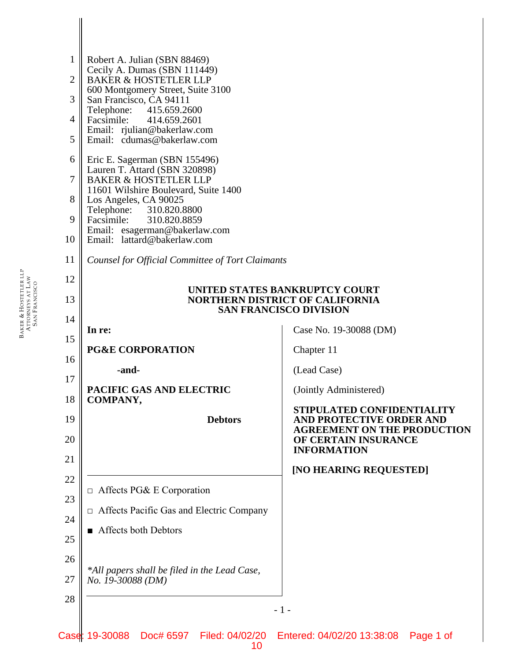| $\mathbf 1$    | Robert A. Julian (SBN 88469)                                                                              |                                                                |  |  |  |
|----------------|-----------------------------------------------------------------------------------------------------------|----------------------------------------------------------------|--|--|--|
| $\overline{2}$ | Cecily A. Dumas (SBN 111449)<br><b>BAKER &amp; HOSTETLER LLP</b>                                          |                                                                |  |  |  |
| 3              | 600 Montgomery Street, Suite 3100<br>San Francisco, CA 94111                                              |                                                                |  |  |  |
| $\overline{4}$ | 415.659.2600<br>Telephone:<br>Facsimile:<br>414.659.2601                                                  |                                                                |  |  |  |
| 5              | Email: rjulian@bakerlaw.com<br>Email: cdumas@bakerlaw.com                                                 |                                                                |  |  |  |
| 6              | Eric E. Sagerman (SBN 155496)                                                                             |                                                                |  |  |  |
| $\tau$         | Lauren T. Attard (SBN 320898)<br><b>BAKER &amp; HOSTETLER LLP</b>                                         |                                                                |  |  |  |
| 8              | 11601 Wilshire Boulevard, Suite 1400<br>Los Angeles, CA 90025                                             |                                                                |  |  |  |
| 9              | 310.820.8800<br>Telephone:<br>Facsimile:<br>310.820.8859                                                  |                                                                |  |  |  |
| 10             | Email: esagerman@bakerlaw.com<br>Email: lattard@bakerlaw.com                                              |                                                                |  |  |  |
| 11             | Counsel for Official Committee of Tort Claimants                                                          |                                                                |  |  |  |
| 12             | UNITED STATES BANKRUPTCY COURT<br><b>NORTHERN DISTRICT OF CALIFORNIA</b><br><b>SAN FRANCISCO DIVISION</b> |                                                                |  |  |  |
| 13             |                                                                                                           |                                                                |  |  |  |
| 14             |                                                                                                           |                                                                |  |  |  |
| 15             | In re:<br><b>PG&amp;E CORPORATION</b>                                                                     | Case No. 19-30088 (DM)<br>Chapter 11                           |  |  |  |
| 16             | -and-                                                                                                     | (Lead Case)                                                    |  |  |  |
| 17             | PACIFIC GAS AND ELECTRIC                                                                                  | (Jointly Administered)                                         |  |  |  |
| 18             | COMPANY,                                                                                                  | STIPULATED CONFIDENTIALITY                                     |  |  |  |
| 19             | <b>Debtors</b>                                                                                            | AND PROTECTIVE ORDER AND<br><b>AGREEMENT ON THE PRODUCTION</b> |  |  |  |
| 20             |                                                                                                           | OF CERTAIN INSURANCE<br><b>INFORMATION</b>                     |  |  |  |
| 21             |                                                                                                           | [NO HEARING REQUESTED]                                         |  |  |  |
| 22             | $\Box$ Affects PG& E Corporation                                                                          |                                                                |  |  |  |
| 23             | $\Box$ Affects Pacific Gas and Electric Company                                                           |                                                                |  |  |  |
| 24             | Affects both Debtors                                                                                      |                                                                |  |  |  |
| 25             |                                                                                                           |                                                                |  |  |  |
| 26             | *All papers shall be filed in the Lead Case,                                                              |                                                                |  |  |  |
| 27             | No. 19-30088 (DM)                                                                                         |                                                                |  |  |  |
| 28             |                                                                                                           | $-1-$                                                          |  |  |  |
| Case           | 19-30088<br>Doc# 6597 Filed: 04/02/20 Entered: 04/02/20 13:38:08                                          | Page 1 of                                                      |  |  |  |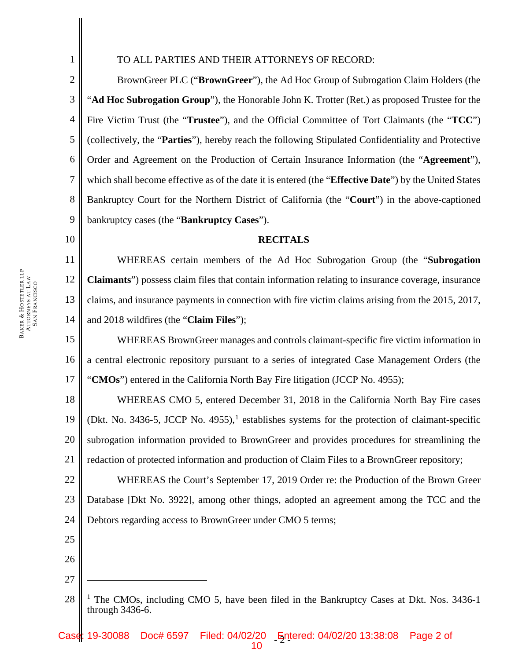3

1

## TO ALL PARTIES AND THEIR ATTORNEYS OF RECORD:

2 4 5 6 7 8 9 BrownGreer PLC ("**BrownGreer**"), the Ad Hoc Group of Subrogation Claim Holders (the "**Ad Hoc Subrogation Group**"), the Honorable John K. Trotter (Ret.) as proposed Trustee for the Fire Victim Trust (the "**Trustee**"), and the Official Committee of Tort Claimants (the "**TCC**") (collectively, the "**Parties**"), hereby reach the following Stipulated Confidentiality and Protective Order and Agreement on the Production of Certain Insurance Information (the "**Agreement**"), which shall become effective as of the date it is entered (the "**Effective Date**") by the United States Bankruptcy Court for the Northern District of California (the "**Court**") in the above-captioned bankruptcy cases (the "**Bankruptcy Cases**").

10

### **RECITALS**

11 12 13 14 WHEREAS certain members of the Ad Hoc Subrogation Group (the "**Subrogation Claimants**") possess claim files that contain information relating to insurance coverage, insurance claims, and insurance payments in connection with fire victim claims arising from the 2015, 2017, and 2018 wildfires (the "**Claim Files**");

15 16 17 WHEREAS BrownGreer manages and controls claimant-specific fire victim information in a central electronic repository pursuant to a series of integrated Case Management Orders (the "**CMOs**") entered in the California North Bay Fire litigation (JCCP No. 4955);

18 19 20 21 WHEREAS CMO 5, entered December 31, 2018 in the California North Bay Fire cases (Dkt. No. 3436-5, JCCP No. 4955),<sup>[1](#page-1-0)</sup> establishes systems for the protection of claimant-specific subrogation information provided to BrownGreer and provides procedures for streamlining the redaction of protected information and production of Claim Files to a BrownGreer repository;

22 23 24 WHEREAS the Court's September 17, 2019 Order re: the Production of the Brown Greer Database [Dkt No. 3922], among other things, adopted an agreement among the TCC and the Debtors regarding access to BrownGreer under CMO 5 terms;

- 25
- 26 27

 $\overline{a}$ 

<span id="page-1-0"></span><sup>28</sup> <sup>1</sup> The CMOs, including CMO 5, have been filed in the Bankruptcy Cases at Dkt. Nos. 3436-1 through 3436-6.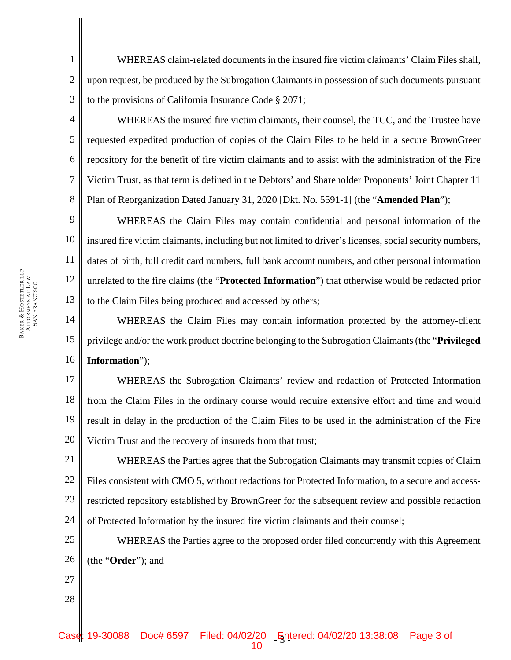WHEREAS claim-related documents in the insured fire victim claimants' Claim Files shall, upon request, be produced by the Subrogation Claimants in possession of such documents pursuant to the provisions of California Insurance Code § 2071;

WHEREAS the insured fire victim claimants, their counsel, the TCC, and the Trustee have requested expedited production of copies of the Claim Files to be held in a secure BrownGreer repository for the benefit of fire victim claimants and to assist with the administration of the Fire Victim Trust, as that term is defined in the Debtors' and Shareholder Proponents' Joint Chapter 11 Plan of Reorganization Dated January 31, 2020 [Dkt. No. 5591-1] (the "**Amended Plan**");

9 10 11 12 13 WHEREAS the Claim Files may contain confidential and personal information of the insured fire victim claimants, including but not limited to driver's licenses, social security numbers, dates of birth, full credit card numbers, full bank account numbers, and other personal information unrelated to the fire claims (the "**Protected Information**") that otherwise would be redacted prior to the Claim Files being produced and accessed by others;

14 15 16 WHEREAS the Claim Files may contain information protected by the attorney-client privilege and/or the work product doctrine belonging to the Subrogation Claimants (the "**Privileged Information**");

17 18 19 20 WHEREAS the Subrogation Claimants' review and redaction of Protected Information from the Claim Files in the ordinary course would require extensive effort and time and would result in delay in the production of the Claim Files to be used in the administration of the Fire Victim Trust and the recovery of insureds from that trust;

21 22 23 24 WHEREAS the Parties agree that the Subrogation Claimants may transmit copies of Claim Files consistent with CMO 5, without redactions for Protected Information, to a secure and accessrestricted repository established by BrownGreer for the subsequent review and possible redaction of Protected Information by the insured fire victim claimants and their counsel;

25 26 WHEREAS the Parties agree to the proposed order filed concurrently with this Agreement (the "**Order**"); and

27 28

BAKER & HOSTETLER LLP ATTORNEYS AT LAW SAN FRANCISCO 1

2

3

4

5

6

7

8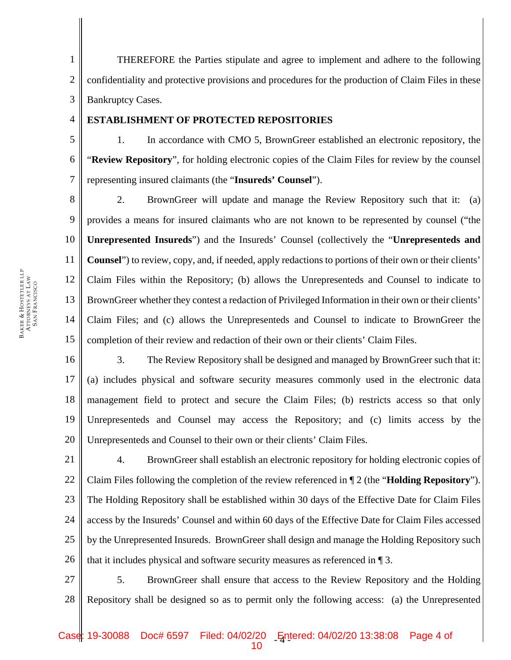1 2 3 THEREFORE the Parties stipulate and agree to implement and adhere to the following confidentiality and protective provisions and procedures for the production of Claim Files in these Bankruptcy Cases.

### **ESTABLISHMENT OF PROTECTED REPOSITORIES**

5 6 7 1. In accordance with CMO 5, BrownGreer established an electronic repository, the "**Review Repository**", for holding electronic copies of the Claim Files for review by the counsel representing insured claimants (the "**Insureds' Counsel**").

8 9 10 11 12 13 14 15 2. BrownGreer will update and manage the Review Repository such that it:(a) provides a means for insured claimants who are not known to be represented by counsel ("the **Unrepresented Insureds**") and the Insureds' Counsel (collectively the "**Unrepresenteds and Counsel**") to review, copy, and, if needed, apply redactions to portions of their own or their clients' Claim Files within the Repository; (b) allows the Unrepresenteds and Counsel to indicate to BrownGreer whether they contest a redaction of Privileged Information in their own or their clients' Claim Files; and (c) allows the Unrepresenteds and Counsel to indicate to BrownGreer the completion of their review and redaction of their own or their clients' Claim Files.

16 17 18 19 20 3. The Review Repository shall be designed and managed by BrownGreer such that it: (a) includes physical and software security measures commonly used in the electronic data management field to protect and secure the Claim Files; (b) restricts access so that only Unrepresenteds and Counsel may access the Repository; and (c) limits access by the Unrepresenteds and Counsel to their own or their clients' Claim Files.

21 22 23 24 25 26 4. BrownGreer shall establish an electronic repository for holding electronic copies of Claim Files following the completion of the review referenced in ¶ 2 (the "**Holding Repository**"). The Holding Repository shall be established within 30 days of the Effective Date for Claim Files access by the Insureds' Counsel and within 60 days of the Effective Date for Claim Files accessed by the Unrepresented Insureds. BrownGreer shall design and manage the Holding Repository such that it includes physical and software security measures as referenced in ¶ 3.

27 28 5. BrownGreer shall ensure that access to the Review Repository and the Holding Repository shall be designed so as to permit only the following access: (a) the Unrepresented

4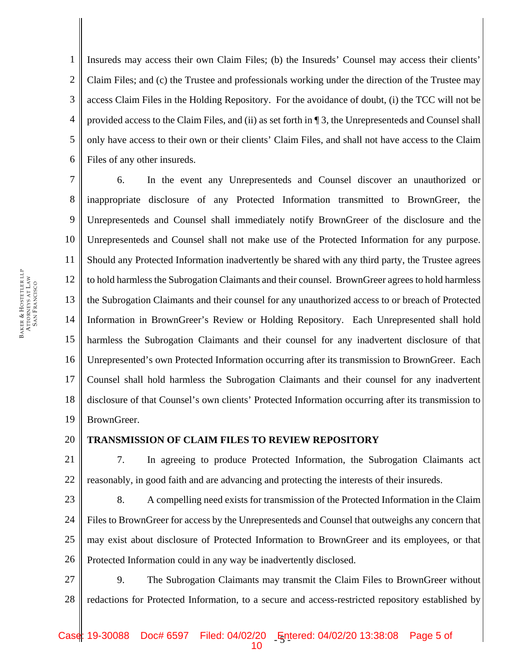1 2 3 4 5 6 Insureds may access their own Claim Files; (b) the Insureds' Counsel may access their clients' Claim Files; and (c) the Trustee and professionals working under the direction of the Trustee may access Claim Files in the Holding Repository. For the avoidance of doubt, (i) the TCC will not be provided access to the Claim Files, and (ii) as set forth in ¶ 3, the Unrepresenteds and Counsel shall only have access to their own or their clients' Claim Files, and shall not have access to the Claim Files of any other insureds.

7 8 9 10 11 12 13 14 15 16 17 18 19 6. In the event any Unrepresenteds and Counsel discover an unauthorized or inappropriate disclosure of any Protected Information transmitted to BrownGreer, the Unrepresenteds and Counsel shall immediately notify BrownGreer of the disclosure and the Unrepresenteds and Counsel shall not make use of the Protected Information for any purpose. Should any Protected Information inadvertently be shared with any third party, the Trustee agrees to hold harmless the Subrogation Claimants and their counsel. BrownGreer agrees to hold harmless the Subrogation Claimants and their counsel for any unauthorized access to or breach of Protected Information in BrownGreer's Review or Holding Repository. Each Unrepresented shall hold harmless the Subrogation Claimants and their counsel for any inadvertent disclosure of that Unrepresented's own Protected Information occurring after its transmission to BrownGreer. Each Counsel shall hold harmless the Subrogation Claimants and their counsel for any inadvertent disclosure of that Counsel's own clients' Protected Information occurring after its transmission to BrownGreer.

20

# **TRANSMISSION OF CLAIM FILES TO REVIEW REPOSITORY**

21 22 7. In agreeing to produce Protected Information, the Subrogation Claimants act reasonably, in good faith and are advancing and protecting the interests of their insureds.

23 24 25 26 8. A compelling need exists for transmission of the Protected Information in the Claim Files to BrownGreer for access by the Unrepresenteds and Counsel that outweighs any concern that may exist about disclosure of Protected Information to BrownGreer and its employees, or that Protected Information could in any way be inadvertently disclosed.

27 28 9. The Subrogation Claimants may transmit the Claim Files to BrownGreer without redactions for Protected Information, to a secure and access-restricted repository established by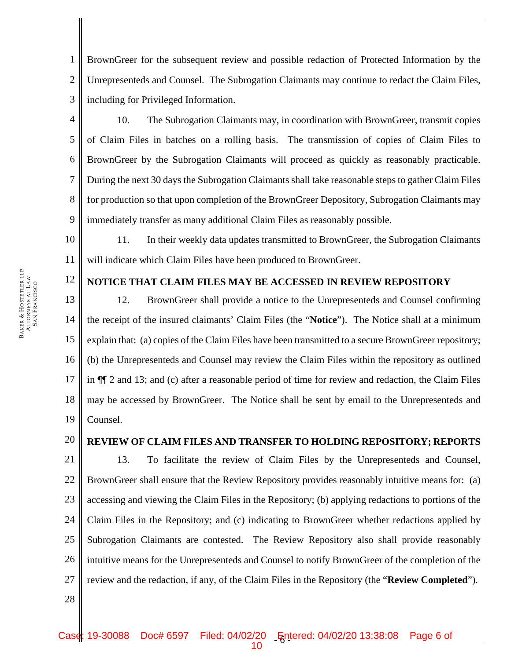BrownGreer for the subsequent review and possible redaction of Protected Information by the Unrepresenteds and Counsel. The Subrogation Claimants may continue to redact the Claim Files, including for Privileged Information.

10. The Subrogation Claimants may, in coordination with BrownGreer, transmit copies of Claim Files in batches on a rolling basis. The transmission of copies of Claim Files to BrownGreer by the Subrogation Claimants will proceed as quickly as reasonably practicable. During the next 30 days the Subrogation Claimants shall take reasonable steps to gather Claim Files for production so that upon completion of the BrownGreer Depository, Subrogation Claimants may immediately transfer as many additional Claim Files as reasonably possible.

10 11 11. In their weekly data updates transmitted to BrownGreer, the Subrogation Claimants will indicate which Claim Files have been produced to BrownGreer.

# **NOTICE THAT CLAIM FILES MAY BE ACCESSED IN REVIEW REPOSITORY**

13 14 15 16 17 18 19 12. BrownGreer shall provide a notice to the Unrepresenteds and Counsel confirming the receipt of the insured claimants' Claim Files (the "**Notice**"). The Notice shall at a minimum explain that: (a) copies of the Claim Files have been transmitted to a secure BrownGreer repository; (b) the Unrepresenteds and Counsel may review the Claim Files within the repository as outlined in ¶¶ 2 and 13; and (c) after a reasonable period of time for review and redaction, the Claim Files may be accessed by BrownGreer. The Notice shall be sent by email to the Unrepresenteds and Counsel.

## **REVIEW OF CLAIM FILES AND TRANSFER TO HOLDING REPOSITORY; REPORTS**

21 22 23 24 25 26 27 13. To facilitate the review of Claim Files by the Unrepresenteds and Counsel, BrownGreer shall ensure that the Review Repository provides reasonably intuitive means for: (a) accessing and viewing the Claim Files in the Repository; (b) applying redactions to portions of the Claim Files in the Repository; and (c) indicating to BrownGreer whether redactions applied by Subrogation Claimants are contested. The Review Repository also shall provide reasonably intuitive means for the Unrepresenteds and Counsel to notify BrownGreer of the completion of the review and the redaction, if any, of the Claim Files in the Repository (the "**Review Completed**").

BAKER & ATTORNEYS AT LAW SAN FRANCISCO

HOSTETLER LLP

1

2

3

4

5

6

7

8

9

12

20

28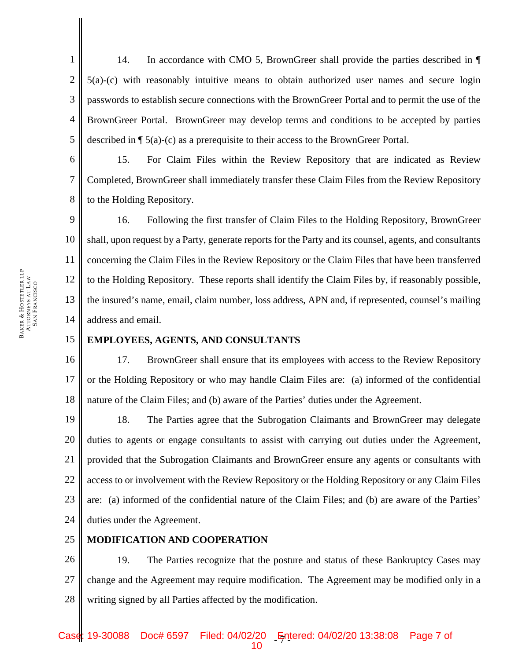1 2 3 4 5 14. In accordance with CMO 5, BrownGreer shall provide the parties described in  $\P$ 5(a)-(c) with reasonably intuitive means to obtain authorized user names and secure login passwords to establish secure connections with the BrownGreer Portal and to permit the use of the BrownGreer Portal. BrownGreer may develop terms and conditions to be accepted by parties described in  $\P$  5(a)-(c) as a prerequisite to their access to the BrownGreer Portal.

6 7 8 15. For Claim Files within the Review Repository that are indicated as Review Completed, BrownGreer shall immediately transfer these Claim Files from the Review Repository to the Holding Repository.

9 10 11 12 13 14 16. Following the first transfer of Claim Files to the Holding Repository, BrownGreer shall, upon request by a Party, generate reports for the Party and its counsel, agents, and consultants concerning the Claim Files in the Review Repository or the Claim Files that have been transferred to the Holding Repository. These reports shall identify the Claim Files by, if reasonably possible, the insured's name, email, claim number, loss address, APN and, if represented, counsel's mailing address and email.

#### 15 **EMPLOYEES, AGENTS, AND CONSULTANTS**

16 17 18 17. BrownGreer shall ensure that its employees with access to the Review Repository or the Holding Repository or who may handle Claim Files are: (a) informed of the confidential nature of the Claim Files; and (b) aware of the Parties' duties under the Agreement.

19 20 21 22 23 24 18. The Parties agree that the Subrogation Claimants and BrownGreer may delegate duties to agents or engage consultants to assist with carrying out duties under the Agreement, provided that the Subrogation Claimants and BrownGreer ensure any agents or consultants with access to or involvement with the Review Repository or the Holding Repository or any Claim Files are: (a) informed of the confidential nature of the Claim Files; and (b) are aware of the Parties' duties under the Agreement.

#### 25 **MODIFICATION AND COOPERATION**

26 27 28 19. The Parties recognize that the posture and status of these Bankruptcy Cases may change and the Agreement may require modification. The Agreement may be modified only in a writing signed by all Parties affected by the modification.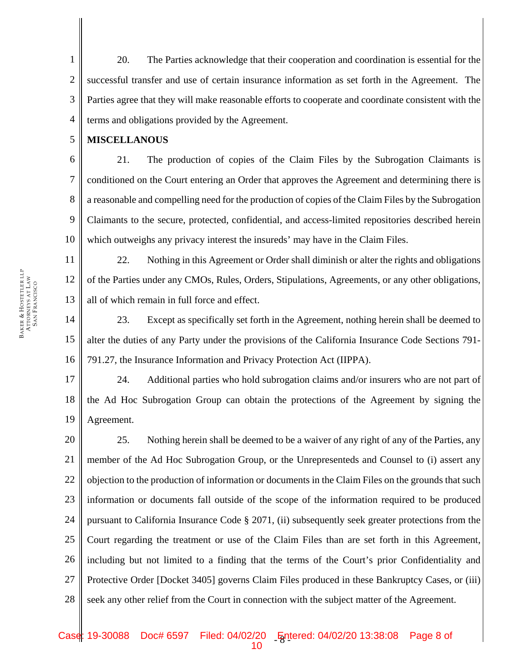1 2 3 4 20. The Parties acknowledge that their cooperation and coordination is essential for the successful transfer and use of certain insurance information as set forth in the Agreement. The Parties agree that they will make reasonable efforts to cooperate and coordinate consistent with the terms and obligations provided by the Agreement.

5 **MISCELLANOUS** 

6 7 8 9 10 21. The production of copies of the Claim Files by the Subrogation Claimants is conditioned on the Court entering an Order that approves the Agreement and determining there is a reasonable and compelling need for the production of copies of the Claim Files by the Subrogation Claimants to the secure, protected, confidential, and access-limited repositories described herein which outweighs any privacy interest the insureds' may have in the Claim Files.

11 12 13 22. Nothing in this Agreement or Order shall diminish or alter the rights and obligations of the Parties under any CMOs, Rules, Orders, Stipulations, Agreements, or any other obligations, all of which remain in full force and effect.

14 15 16 23. Except as specifically set forth in the Agreement, nothing herein shall be deemed to alter the duties of any Party under the provisions of the California Insurance Code Sections 791- 791.27, the Insurance Information and Privacy Protection Act (IIPPA).

17 18 19 24. Additional parties who hold subrogation claims and/or insurers who are not part of the Ad Hoc Subrogation Group can obtain the protections of the Agreement by signing the Agreement.

20 21 22 23 24 25 26 27 28 25. Nothing herein shall be deemed to be a waiver of any right of any of the Parties, any member of the Ad Hoc Subrogation Group, or the Unrepresenteds and Counsel to (i) assert any objection to the production of information or documents in the Claim Files on the grounds that such information or documents fall outside of the scope of the information required to be produced pursuant to California Insurance Code § 2071, (ii) subsequently seek greater protections from the Court regarding the treatment or use of the Claim Files than are set forth in this Agreement, including but not limited to a finding that the terms of the Court's prior Confidentiality and Protective Order [Docket 3405] governs Claim Files produced in these Bankruptcy Cases, or (iii) seek any other relief from the Court in connection with the subject matter of the Agreement.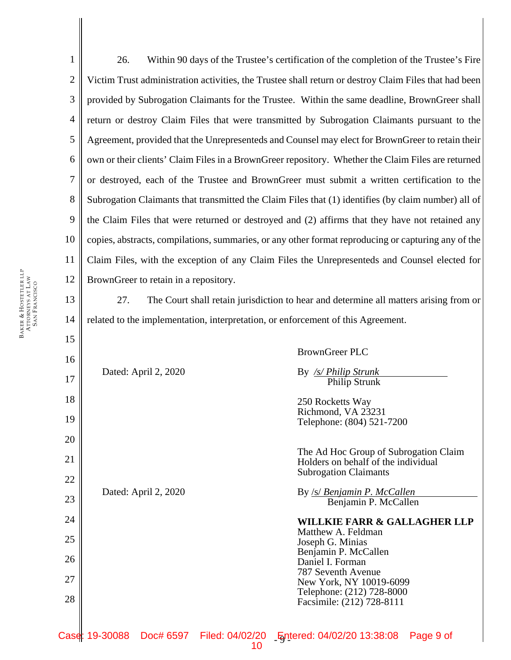1 2 3 4 5 6 7 8 9 10 11 12 13 14 15 16 26. Within 90 days of the Trustee's certification of the completion of the Trustee's Fire Victim Trust administration activities, the Trustee shall return or destroy Claim Files that had been provided by Subrogation Claimants for the Trustee. Within the same deadline, BrownGreer shall return or destroy Claim Files that were transmitted by Subrogation Claimants pursuant to the Agreement, provided that the Unrepresenteds and Counsel may elect for BrownGreer to retain their own or their clients' Claim Files in a BrownGreer repository. Whether the Claim Files are returned or destroyed, each of the Trustee and BrownGreer must submit a written certification to the Subrogation Claimants that transmitted the Claim Files that (1) identifies (by claim number) all of the Claim Files that were returned or destroyed and (2) affirms that they have not retained any copies, abstracts, compilations, summaries, or any other format reproducing or capturing any of the Claim Files, with the exception of any Claim Files the Unrepresenteds and Counsel elected for BrownGreer to retain in a repository. 27. The Court shall retain jurisdiction to hear and determine all matters arising from or related to the implementation, interpretation, or enforcement of this Agreement. BrownGreer PLC Dated: April 2, 2020 By */s/ Philip Strunk* 

17

250 Rocketts Way Richmond, VA 23231  $Telaphona: (804)$  521-7200

Philip Strunk

|    |                      |                                        |                                                                              | <b>ICIC DITIONS.</b> (OV+) $J\angle 1^-$ / $\angle 0$                                |
|----|----------------------|----------------------------------------|------------------------------------------------------------------------------|--------------------------------------------------------------------------------------|
| 20 | Dated: April 2, 2020 |                                        |                                                                              |                                                                                      |
| 21 |                      |                                        | The Ad Hoc Group of Subrogation Claim<br>Holders on behalf of the individual |                                                                                      |
| 22 |                      |                                        |                                                                              | <b>Subrogation Claimants</b>                                                         |
|    |                      |                                        | By <u>/s/ Benjamin P. McCallen</u>                                           |                                                                                      |
| 23 |                      |                                        | Benjamin P. McCallen                                                         |                                                                                      |
| 24 |                      |                                        | <b>WILLKIE FARR &amp; GALLAGHER LLP</b>                                      |                                                                                      |
| 25 |                      | Matthew A. Feldman<br>Joseph G. Minias |                                                                              |                                                                                      |
|    |                      |                                        |                                                                              | Benjamin P. McCallen                                                                 |
| 26 |                      |                                        | Daniel I. Forman                                                             |                                                                                      |
| 27 |                      |                                        |                                                                              | 787 Seventh Avenue                                                                   |
|    |                      |                                        |                                                                              | New York, NY 10019-6099<br>Telephone: (212) 728-8000                                 |
| 28 |                      |                                        |                                                                              | Facsimile: (212) 728-8111                                                            |
|    |                      |                                        |                                                                              |                                                                                      |
|    |                      |                                        |                                                                              | Case: 19-30088  Doc# 6597  Filed: 04/02/20  Entered: 04/02/20  13:38:08<br>Page 9 of |

10

18

 $19<sup>1</sup>$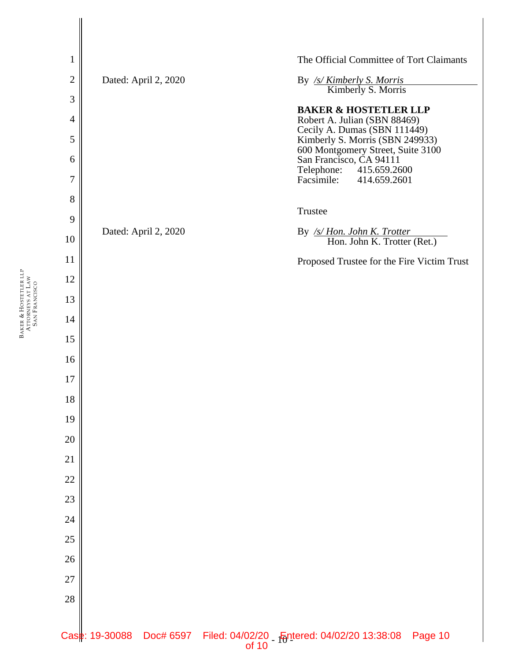BAKER &

HOSTETLER LLP

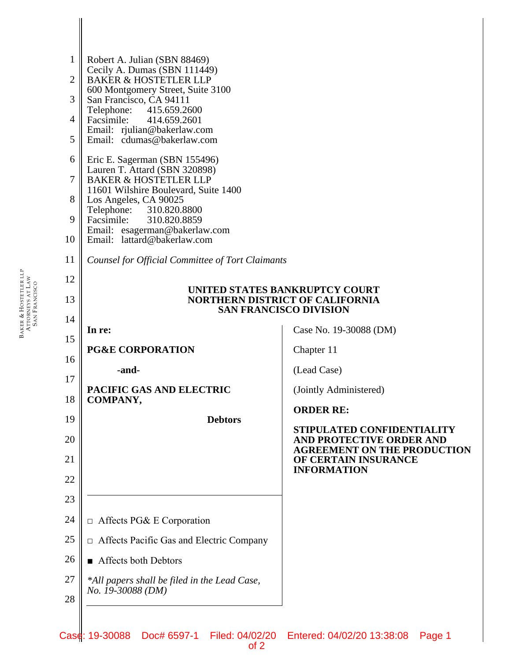| 1              | Robert A. Julian (SBN 88469)                                             |                                                                                  |  |  |
|----------------|--------------------------------------------------------------------------|----------------------------------------------------------------------------------|--|--|
| $\overline{2}$ | Cecily A. Dumas (SBN 111449)<br><b>BAKER &amp; HOSTETLER LLP</b>         |                                                                                  |  |  |
| 3              | 600 Montgomery Street, Suite 3100<br>San Francisco, CA 94111             |                                                                                  |  |  |
| $\overline{4}$ | Telephone: 415.659.2600<br>Facsimile:<br>414.659.2601                    |                                                                                  |  |  |
| 5              | Email: rjulian@bakerlaw.com<br>Email: cdumas@bakerlaw.com                |                                                                                  |  |  |
| 6              | Eric E. Sagerman (SBN 155496)                                            |                                                                                  |  |  |
| $\overline{7}$ | Lauren T. Attard (SBN 320898)<br><b>BAKER &amp; HOSTETLER LLP</b>        |                                                                                  |  |  |
| 8              | 11601 Wilshire Boulevard, Suite 1400<br>Los Angeles, CA 90025            |                                                                                  |  |  |
| 9              | Telephone: 310.820.8800<br>Facsimile:<br>310.820.8859                    |                                                                                  |  |  |
| 10             | Email: esagerman@bakerlaw.com<br>Email: lattard@bakerlaw.com             |                                                                                  |  |  |
| 11             | Counsel for Official Committee of Tort Claimants                         |                                                                                  |  |  |
| 12             |                                                                          |                                                                                  |  |  |
| 13             | UNITED STATES BANKRUPTCY COURT<br><b>NORTHERN DISTRICT OF CALIFORNIA</b> |                                                                                  |  |  |
| 14             | <b>SAN FRANCISCO DIVISION</b>                                            |                                                                                  |  |  |
| 15             | In re:                                                                   | Case No. 19-30088 (DM)                                                           |  |  |
| 16             | <b>PG&amp;E CORPORATION</b>                                              | Chapter 11                                                                       |  |  |
| 17             | -and-                                                                    | (Lead Case)                                                                      |  |  |
| 18             | PACIFIC GAS AND ELECTRIC<br>COMPANY,                                     | (Jointly Administered)                                                           |  |  |
| 19             | <b>Debtors</b>                                                           | <b>ORDER RE:</b>                                                                 |  |  |
| 20             |                                                                          | STIPULATED CONFIDENTIALITY<br>AND PROTECTIVE ORDER AND                           |  |  |
| 21             |                                                                          | <b>AGREEMENT ON THE PRODUCTION</b><br>OF CERTAIN INSURANCE<br><b>INFORMATION</b> |  |  |
| 22             |                                                                          |                                                                                  |  |  |
| 23             |                                                                          |                                                                                  |  |  |
| 24             | $\Box$ Affects PG& E Corporation                                         |                                                                                  |  |  |
| 25             | $\Box$ Affects Pacific Gas and Electric Company                          |                                                                                  |  |  |
| 26             | Affects both Debtors                                                     |                                                                                  |  |  |
| 27             | *All papers shall be filed in the Lead Case,<br>No. 19-30088 (DM)        |                                                                                  |  |  |
| 28             |                                                                          |                                                                                  |  |  |
|                |                                                                          |                                                                                  |  |  |